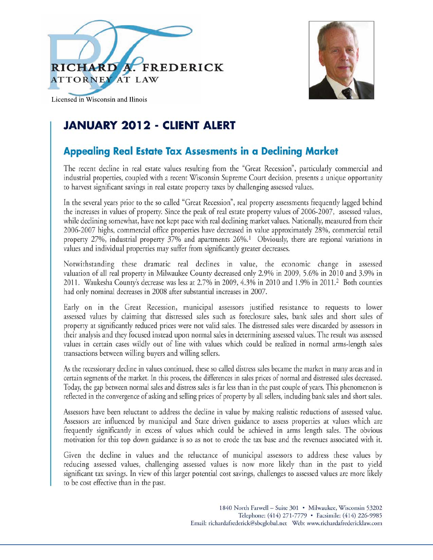



Licensed in Wisconsin and Ilinois

## **JANUARY 2012 - CLIENT ALERT**

### **Appealing Real Estate Tax Assesments in a Declining Market**

The recent decline in real estate values resulting from the "Great Recession", particularly commercial and industrial properties, coupled with a recent Wisconsin Supreme Court decision, presents a unique opportunity to harvest significant savings in real estate property taxes by challenging assessed values.

In the several years prior to the so called "Great Recession", real property assessments frequently lagged behind the increases in values of property. Since the peak of real estate property values of 2006-2007, assessed values, while declining somewhat, have not kept pace with real declining market values. Nationally, measured from their 2006-2007 highs, commercial office properties have decreased in value approximately 28%, commercial retail property 27%, industrial property 37% and apartments 26%.<sup>1</sup> Obviously, there are regional variations in values and individual properties may suffer from significantly greater decreases.

Notwithstanding these dramatic real declines in value, the economic change in assessed valuation of all real property in Milwaukee County decreased only 2.9% in 2009, 5.6% in 2010 and 3.9% in 2011. Waukesha County's decrease was less at 2.7% in 2009, 4.3% in 2010 and 1.9% in 2011.<sup>2</sup> Both counties had only nominal decreases in 2008 after substantial increases in 2007.

Early on in the Great Recession, municipal assessors justified resistance to requests to lower assessed values by claiming that distressed sales such as foreclosure sales, bank sales and short sales of property at significantly reduced prices were not valid sales. The distressed sales were discarded by assessors in their analysis and they focused instead upon normal sales in determining assessed values. The result was assessed values in certain cases wildly out of line with values which could be realized in normal arms-length sales transactions between willing buyers and willing sellers.

As the recessionary decline in values continued, these so called distress sales became the market in many areas and in certain segments of the market. In this process, the differences in sales prices of normal and distressed sales decreased. Today, the gap between normal sales and distress sales is far less than in the past couple of years. This phenomenon is reflected in the convergence of asking and selling prices of property by all sellers, including bank sales and short sales.

Assessors have been reluctant to address the decline in value by making realistic reductions of assessed value. Assessors are influenced by municipal and State driven guidance to assess properties at values which are frequently significantly in excess of values which could be achieved in arms length sales. The obvious motivation for this top down guidance is so as not to erode the tax base and the revenues associated with it.

Given the decline in values and the reluctance of municipal assessors to address these values by reducing assessed values, challenging assessed values is now more likely than in the past to yield significant tax savings. In view of this larger potential cost savings, challenges to assessed values are more likely to be cost effective than in the past.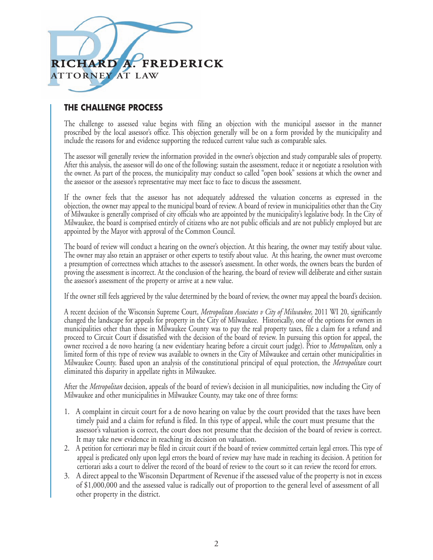

### **THE CHALLENGE PROCESS**

The challenge to assessed value begins with filing an objection with the municipal assessor in the manner proscribed by the local assessor's office. This objection generally will be on a form provided by the municipality and include the reasons for and evidence supporting the reduced current value such as comparable sales.

The assessor will generally review the information provided in the owner's objection and study comparable sales of property. After this analysis, the assessor will do one of the following: sustain the assessment, reduce it or negotiate a resolution with the owner. As part of the process, the municipality may conduct so called "open book" sessions at which the owner and the assessor or the assessor's representative may meet face to face to discuss the assessment.

If the owner feels that the assessor has not adequately addressed the valuation concerns as expressed in the objection, the owner may appeal to the municipal board of review. A board of review in municipalities other than the City of Milwaukee is generally comprised of city officials who are appointed by the municipality's legislative body. In the City of Milwaukee, the board is comprised entirely of citizens who are not public officials and are not publicly employed but are appointed by the Mayor with approval of the Common Council.

The board of review will conduct a hearing on the owner's objection. At this hearing, the owner may testify about value. The owner may also retain an appraiser or other experts to testify about value. At this hearing, the owner must overcome a presumption of correctness which attaches to the assessor's assessment. In other words, the owners bears the burden of proving the assessment is incorrect. At the conclusion of the hearing, the board of review will deliberate and either sustain the assessor's assessment of the property or arrive at a new value.

If the owner still feels aggrieved by the value determined by the board of review, the owner may appeal the board's decision.

A recent decision of the Wisconsin Supreme Court, *Metropolitan Associates v City of Milwaukee*, 2011 WI 20, significantly changed the landscape for appeals for property in the City of Milwaukee. Historically, one of the options for owners in municipalities other than those in Milwaukee County was to pay the real property taxes, file a claim for a refund and proceed to Circuit Court if dissatisfied with the decision of the board of review. In pursuing this option for appeal, the owner received a de novo hearing (a new evidentiary hearing before a circuit court judge). Prior to *Metropolitan*, only a limited form of this type of review was available to owners in the City of Milwaukee and certain other municipalities in Milwaukee County. Based upon an analysis of the constitutional principal of equal protection, the *Metropolitan* court eliminated this disparity in appellate rights in Milwaukee.

After the *Metropolitan* decision, appeals of the board of review's decision in all municipalities, now including the City of Milwaukee and other municipalities in Milwaukee County, may take one of three forms:

- 1. A complaint in circuit court for a de novo hearing on value by the court provided that the taxes have been timely paid and a claim for refund is filed. In this type of appeal, while the court must presume that the assessor's valuation is correct, the court does not presume that the decision of the board of review is correct. It may take new evidence in reaching its decision on valuation.
- 2. A petition for certiorari may be filed in circuit court if the board of review committed certain legal errors. This type of appeal is predicated only upon legal errors the board of review may have made in reaching its decision. A petition for certiorari asks a court to deliver the record of the board of review to the court so it can review the record for errors.
- 3. A direct appeal to the Wisconsin Department of Revenue if the assessed value of the property is not in excess of \$1,000,000 and the assessed value is radically out of proportion to the general level of assessment of all other property in the district.